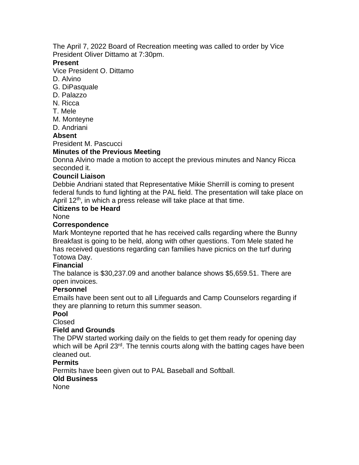The April 7, 2022 Board of Recreation meeting was called to order by Vice President Oliver Dittamo at 7:30pm.

### **Present**

Vice President O. Dittamo

- D. Alvino
- G. DiPasquale
- D. Palazzo
- N. Ricca
- T. Mele
- M. Monteyne
- D. Andriani

## **Absent**

President M. Pascucci

## **Minutes of the Previous Meeting**

Donna Alvino made a motion to accept the previous minutes and Nancy Ricca seconded it.

### **Council Liaison**

Debbie Andriani stated that Representative Mikie Sherrill is coming to present federal funds to fund lighting at the PAL field. The presentation will take place on April 12<sup>th</sup>, in which a press release will take place at that time.

## **Citizens to be Heard**

None

## **Correspondence**

Mark Monteyne reported that he has received calls regarding where the Bunny Breakfast is going to be held, along with other questions. Tom Mele stated he has received questions regarding can families have picnics on the turf during Totowa Day.

## **Financial**

The balance is \$30,237.09 and another balance shows \$5,659.51. There are open invoices.

## **Personnel**

Emails have been sent out to all Lifeguards and Camp Counselors regarding if they are planning to return this summer season.

# **Pool**

Closed

## **Field and Grounds**

The DPW started working daily on the fields to get them ready for opening day which will be April 23<sup>rd</sup>. The tennis courts along with the batting cages have been cleaned out.

## **Permits**

Permits have been given out to PAL Baseball and Softball.

## **Old Business**

None